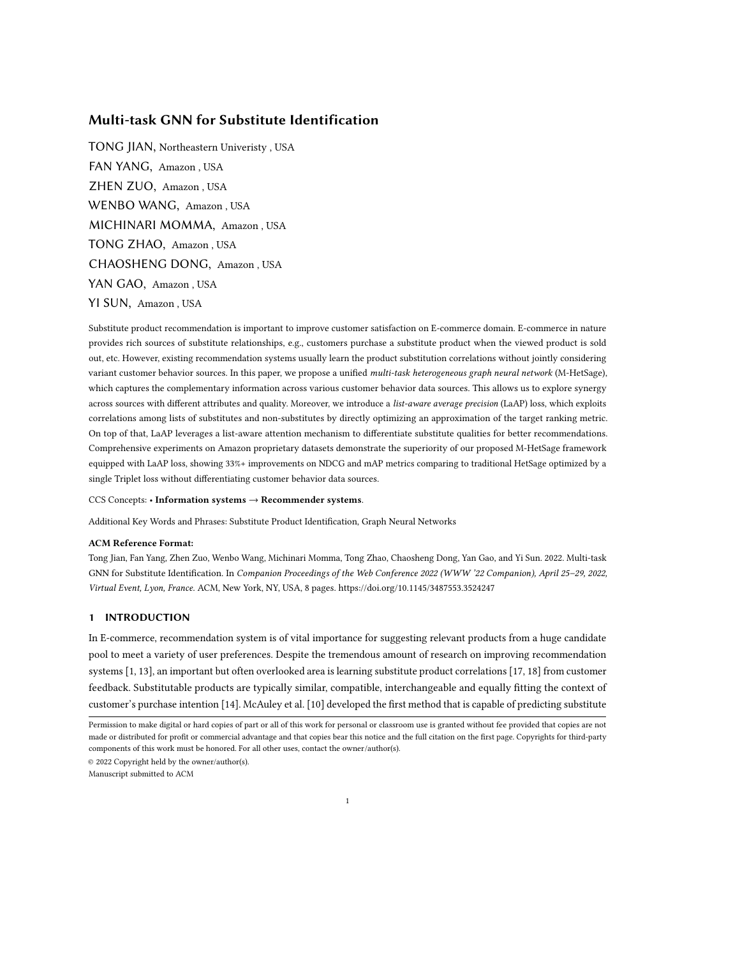# Multi-task GNN for Substitute Identification

TONG JIAN, Northeastern Univeristy , USA FAN YANG, Amazon , USA ZHEN ZUO, Amazon , USA WENBO WANG, Amazon , USA MICHINARI MOMMA, Amazon , USA TONG ZHAO, Amazon , USA CHAOSHENG DONG, Amazon , USA YAN GAO, Amazon , USA YI SUN, Amazon , USA

Substitute product recommendation is important to improve customer satisfaction on E-commerce domain. E-commerce in nature provides rich sources of substitute relationships, e.g., customers purchase a substitute product when the viewed product is sold out, etc. However, existing recommendation systems usually learn the product substitution correlations without jointly considering variant customer behavior sources. In this paper, we propose a unified multi-task heterogeneous graph neural network (M-HetSage), which captures the complementary information across various customer behavior data sources. This allows us to explore synergy across sources with different attributes and quality. Moreover, we introduce a list-aware average precision (LaAP) loss, which exploits correlations among lists of substitutes and non-substitutes by directly optimizing an approximation of the target ranking metric. On top of that, LaAP leverages a list-aware attention mechanism to differentiate substitute qualities for better recommendations. Comprehensive experiments on Amazon proprietary datasets demonstrate the superiority of our proposed M-HetSage framework equipped with LaAP loss, showing 33%+ improvements on NDCG and mAP metrics comparing to traditional HetSage optimized by a single Triplet loss without differentiating customer behavior data sources.

#### CCS Concepts: • Information systems → Recommender systems.

Additional Key Words and Phrases: Substitute Product Identification, Graph Neural Networks

## ACM Reference Format:

Tong Jian, Fan Yang, Zhen Zuo, Wenbo Wang, Michinari Momma, Tong Zhao, Chaosheng Dong, Yan Gao, and Yi Sun. 2022. Multi-task GNN for Substitute Identification. In Companion Proceedings of the Web Conference 2022 (WWW '22 Companion), April 25–29, 2022, Virtual Event, Lyon, France. ACM, New York, NY, USA, [8](#page-7-0) pages.<https://doi.org/10.1145/3487553.3524247>

# 1 INTRODUCTION

In E-commerce, recommendation system is of vital importance for suggesting relevant products from a huge candidate pool to meet a variety of user preferences. Despite the tremendous amount of research on improving recommendation systems [\[1,](#page-6-0) [13\]](#page-7-1), an important but often overlooked area is learning substitute product correlations [\[17,](#page-7-2) [18\]](#page-7-3) from customer feedback. Substitutable products are typically similar, compatible, interchangeable and equally fitting the context of customer's purchase intention [\[14\]](#page-7-4). McAuley et al. [\[10\]](#page-6-1) developed the first method that is capable of predicting substitute

© 2022 Copyright held by the owner/author(s).

Manuscript submitted to ACM

Permission to make digital or hard copies of part or all of this work for personal or classroom use is granted without fee provided that copies are not made or distributed for profit or commercial advantage and that copies bear this notice and the full citation on the first page. Copyrights for third-party components of this work must be honored. For all other uses, contact the owner/author(s).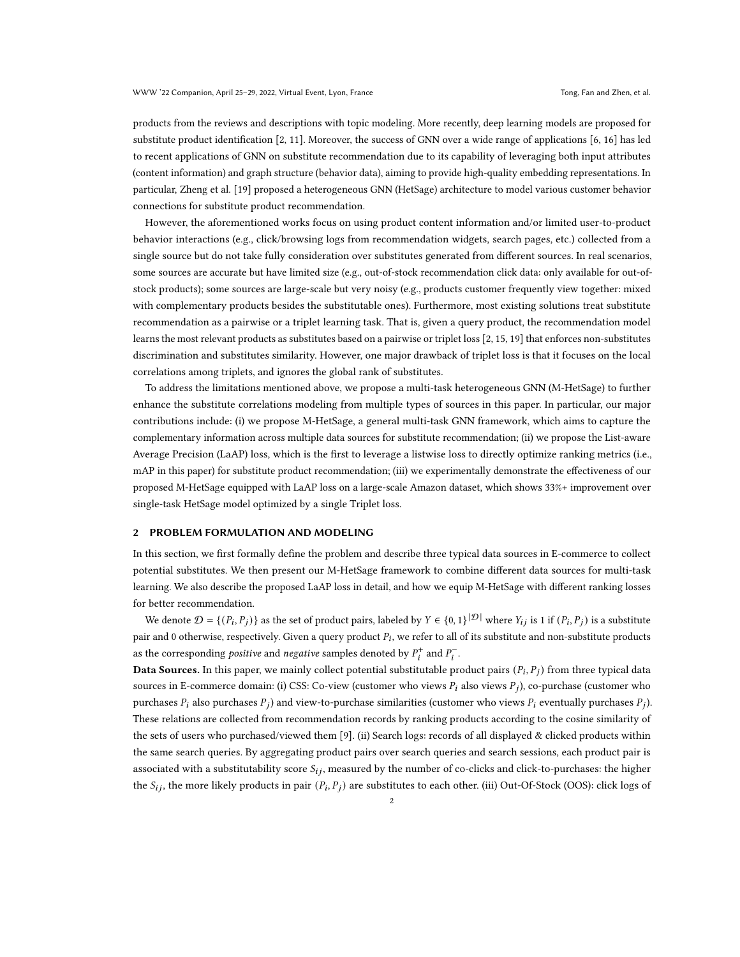products from the reviews and descriptions with topic modeling. More recently, deep learning models are proposed for substitute product identification [\[2,](#page-6-2) [11\]](#page-7-5). Moreover, the success of GNN over a wide range of applications [\[6,](#page-6-3) [16\]](#page-7-6) has led to recent applications of GNN on substitute recommendation due to its capability of leveraging both input attributes (content information) and graph structure (behavior data), aiming to provide high-quality embedding representations. In particular, Zheng et al. [\[19\]](#page-7-7) proposed a heterogeneous GNN (HetSage) architecture to model various customer behavior connections for substitute product recommendation.

However, the aforementioned works focus on using product content information and/or limited user-to-product behavior interactions (e.g., click/browsing logs from recommendation widgets, search pages, etc.) collected from a single source but do not take fully consideration over substitutes generated from different sources. In real scenarios, some sources are accurate but have limited size (e.g., out-of-stock recommendation click data: only available for out-ofstock products); some sources are large-scale but very noisy (e.g., products customer frequently view together: mixed with complementary products besides the substitutable ones). Furthermore, most existing solutions treat substitute recommendation as a pairwise or a triplet learning task. That is, given a query product, the recommendation model learns the most relevant products as substitutes based on a pairwise or triplet loss [\[2,](#page-6-2) [15,](#page-7-8) [19\]](#page-7-7) that enforces non-substitutes discrimination and substitutes similarity. However, one major drawback of triplet loss is that it focuses on the local correlations among triplets, and ignores the global rank of substitutes.

To address the limitations mentioned above, we propose a multi-task heterogeneous GNN (M-HetSage) to further enhance the substitute correlations modeling from multiple types of sources in this paper. In particular, our major contributions include: (i) we propose M-HetSage, a general multi-task GNN framework, which aims to capture the complementary information across multiple data sources for substitute recommendation; (ii) we propose the List-aware Average Precision (LaAP) loss, which is the first to leverage a listwise loss to directly optimize ranking metrics (i.e., mAP in this paper) for substitute product recommendation; (iii) we experimentally demonstrate the effectiveness of our proposed M-HetSage equipped with LaAP loss on a large-scale Amazon dataset, which shows 33%+ improvement over single-task HetSage model optimized by a single Triplet loss.

### 2 PROBLEM FORMULATION AND MODELING

In this section, we first formally define the problem and describe three typical data sources in E-commerce to collect potential substitutes. We then present our M-HetSage framework to combine different data sources for multi-task learning. We also describe the proposed LaAP loss in detail, and how we equip M-HetSage with different ranking losses for better recommendation.

We denote  $\mathcal{D} = \{(P_i, P_j)\}$  as the set of product pairs, labeled by  $Y \in \{0, 1\}^{|\mathcal{D}|}$  where  $Y_{ij}$  is 1 if  $(P_i, P_j)$  is a substitute pair and 0 otherwise, respectively. Given a query product  $P_i$ , we refer to all of its substitute and non-substitute products as the corresponding *positive* and *negative* samples denoted by  $P_i^+$  and  $P_i^-$ .

Data Sources. In this paper, we mainly collect potential substitutable product pairs  $(P_i, P_j)$  from three typical data sources in E-commerce domain: (i) CSS: Co-view (customer who views  $P_i$  also views  $P_j$ ), co-purchase (customer who purchases  $P_i$  also purchases  $P_j$ ) and view-to-purchase similarities (customer who views  $P_i$  eventually purchases  $P_j$ ). These relations are collected from recommendation records by ranking products according to the cosine similarity of the sets of users who purchased/viewed them [\[9\]](#page-6-4). (ii) Search logs: records of all displayed & clicked products within the same search queries. By aggregating product pairs over search queries and search sessions, each product pair is associated with a substitutability score  $S_{ij}$ , measured by the number of co-clicks and click-to-purchases: the higher the  $S_{ij}$ , the more likely products in pair  $(P_i, P_j)$  are substitutes to each other. (iii) Out-Of-Stock (OOS): click logs of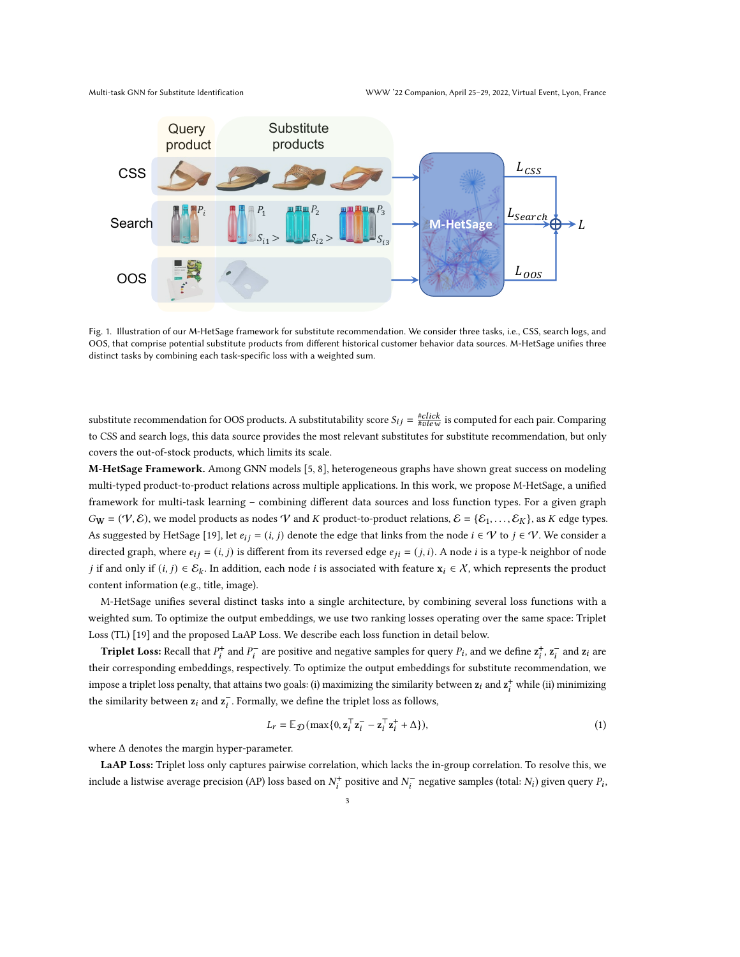

Fig. 1. Illustration of our M-HetSage framework for substitute recommendation. We consider three tasks, i.e., CSS, search logs, and OOS, that comprise potential substitute products from different historical customer behavior data sources. M-HetSage unifies three distinct tasks by combining each task-specific loss with a weighted sum.

substitute recommendation for OOS products. A substitutability score  $S_{ij} = \frac{\#click}{\#view}$  is computed for each pair. Comparing to CSS and search logs, this data source provides the most relevant substitutes for substitute recommendation, but only covers the out-of-stock products, which limits its scale.

M-HetSage Framework. Among GNN models [\[5,](#page-6-5) [8\]](#page-6-6), heterogeneous graphs have shown great success on modeling multi-typed product-to-product relations across multiple applications. In this work, we propose M-HetSage, a unified framework for multi-task learning – combining different data sources and loss function types. For a given graph  $G_{\bf W} = (\mathcal{V}, \mathcal{E})$ , we model products as nodes  $\mathcal V$  and  $K$  product-to-product relations,  $\mathcal{E} = {\mathcal{E}_1, \ldots, \mathcal{E}_K}$ , as  $K$  edge types. As suggested by HetSage [\[19\]](#page-7-7), let  $e_{ij} = (i, j)$  denote the edge that links from the node  $i \in \mathcal{V}$  to  $j \in \mathcal{V}$ . We consider a directed graph, where  $e_{ij} = (i, j)$  is different from its reversed edge  $e_{ji} = (j, i)$ . A node *i* is a type-k neighbor of node *j* if and only if  $(i, j) \in \mathcal{E}_k$ . In addition, each node *i* is associated with feature  $x_i \in \mathcal{X}$ , which represents the product content information (e.g., title, image).

M-HetSage unifies several distinct tasks into a single architecture, by combining several loss functions with a weighted sum. To optimize the output embeddings, we use two ranking losses operating over the same space: Triplet Loss (TL) [\[19\]](#page-7-7) and the proposed LaAP Loss. We describe each loss function in detail below.

**Triplet Loss:** Recall that  $P_i^+$  and  $P_i^-$  are positive and negative samples for query  $P_i$ , and we define  $z_i^+$ ,  $z_i^-$  and  $z_i$  are their corresponding embeddings, respectively. To optimize the output embeddings for substitute recommendation, we impose a triplet loss penalty, that attains two goals: (i) maximizing the similarity between  $z_i$  and  $z_i^+$  while (ii) minimizing the similarity between  $z_i$  and  $z_i^-$ . Formally, we define the triplet loss as follows,

$$
L_r = \mathbb{E}_{\mathcal{D}}(\max\{0, \mathbf{z}_i^{\top} \mathbf{z}_i^{\top} - \mathbf{z}_i^{\top} \mathbf{z}_i^{\top} + \Delta\}),\tag{1}
$$

where Δ denotes the margin hyper-parameter.

LaAP Loss: Triplet loss only captures pairwise correlation, which lacks the in-group correlation. To resolve this, we include a listwise average precision (AP) loss based on  $N_i^+$  positive and  $N_i^-$  negative samples (total:  $N_i$ ) given query  $P_i$ ,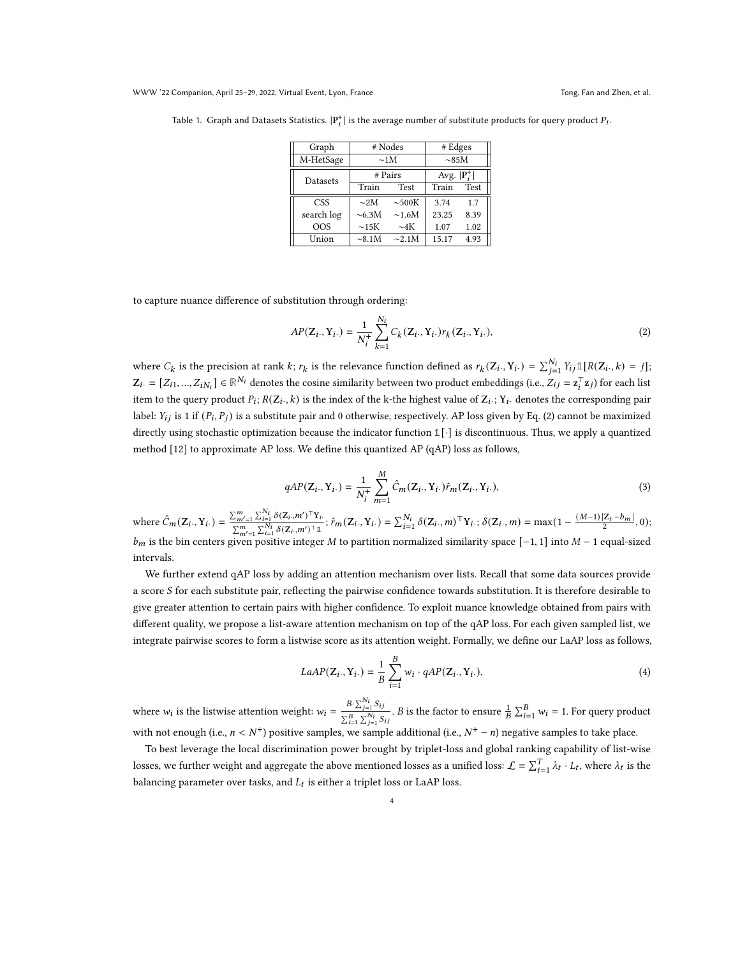| Graph      |             | # Nodes     | # Edges                 |             |
|------------|-------------|-------------|-------------------------|-------------|
| M-HetSage  |             | $\sim$ 1M   | $\sim$ 85M              |             |
| Datasets   | # Pairs     |             | Avg. $ \mathbf{P}_i^+ $ |             |
|            | Train       | <b>Test</b> | Train                   | <b>Test</b> |
| <b>CSS</b> | $\sim$ 2M   | $\sim 500K$ | 3.74                    | 1.7         |
| search log | $\sim 6.3M$ | $\sim$ 1.6M | 23.25                   | 8.39        |
| OOS        | $\sim$ 15K  | $\sim$ 4K   | 1.07                    | 1.02        |
| Union      | $\sim$ 8.1M | $\sim$ 2.1M | 15.17                   | 4.93        |

<span id="page-3-1"></span>Table 1. Graph and Datasets Statistics.  $|\text{P}_i^+|$  is the average number of substitute products for query product  $P_i$ .

to capture nuance difference of substitution through ordering:

<span id="page-3-0"></span>
$$
AP(\mathbf{Z}_{i\cdot}, \mathbf{Y}_{i\cdot}) = \frac{1}{N_{i}^{+}} \sum_{k=1}^{N_{i}} C_{k}(\mathbf{Z}_{i\cdot}, \mathbf{Y}_{i\cdot}) r_{k}(\mathbf{Z}_{i\cdot}, \mathbf{Y}_{i\cdot}),
$$
\n(2)

where  $C_k$  is the precision at rank k;  $r_k$  is the relevance function defined as  $r_k(Z_i, Y_i) = \sum_{j=1}^{N_i} Y_{ij} \mathbb{1}[R(Z_i, k) = j];$  $\mathbf{Z}_i$ . = [ $Z_{i1}, ..., Z_{iN_i}$ ] ∈ ℝ<sup>N</sup>i denotes the cosine similarity between two product embeddings (i.e.,  $Z_{ij} = \mathbf{z}_i^{\top} \mathbf{z}_j$ ) for each list item to the query product  $P_i$ ;  $R(Z_i, k)$  is the index of the k-the highest value of  $Z_i$ .;  $Y_i$ . denotes the corresponding pair label:  $Y_{ij}$  is 1 if  $(P_i, P_j)$  is a substitute pair and 0 otherwise, respectively. AP loss given by Eq. [\(2\)](#page-3-0) cannot be maximized directly using stochastic optimization because the indicator function **1**[·] is discontinuous. Thus, we apply a quantized method [\[12\]](#page-7-9) to approximate AP loss. We define this quantized AP (qAP) loss as follows,

$$
qAP(Z_i., Y_i.) = \frac{1}{N_i^+} \sum_{m=1}^{M} \hat{C}_m(Z_i., Y_i.) \hat{r}_m(Z_i., Y_i.),
$$
\n(3)

where  $\hat{C}_m(Z_i, Y_i) = \frac{\sum_{m'=1}^m \sum_{i=1}^{N_i} \delta(Z_i, m')^\top Y_i}{\sum_{m'}^m \sum_{j'}^N \delta(Z_i, m')^\top \sum_{j'}^N}$  $\sum_{m'=1}^{m} \sum_{i=1}^{N_i} \delta(Z_i,m')^T Y_i$ ;  $\hat{r}_m(Z_i, Y_i) = \sum_{i=1}^{N_i} \delta(Z_i, m)^\top Y_i$ ;  $\delta(Z_i, m) = \max(1 - \frac{(M-1)|Z_i - b_m|}{2}, 0)$ ;  $\sum_{m'=1}^{m} \sum_{i=1}^{N_i} \delta(Z_i, m')^T Y_i$  $b_m$  is the bin centers given positive integer M to partition normalized similarity space [−1, 1] into  $M-1$  equal-sized intervals.

We further extend qAP loss by adding an attention mechanism over lists. Recall that some data sources provide a score S for each substitute pair, reflecting the pairwise confidence towards substitution. It is therefore desirable to give greater attention to certain pairs with higher confidence. To exploit nuance knowledge obtained from pairs with different quality, we propose a list-aware attention mechanism on top of the qAP loss. For each given sampled list, we integrate pairwise scores to form a listwise score as its attention weight. Formally, we define our LaAP loss as follows,

$$
LaAP(\mathbf{Z}_i, \mathbf{Y}_i.) = \frac{1}{B} \sum_{i=1}^{B} w_i \cdot qAP(\mathbf{Z}_i, \mathbf{Y}_i.), \tag{4}
$$

where  $w_i$  is the listwise attention weight:  $w_i = \frac{B \sum_{j=1}^{N_i} S_{ij}}{\sum_{j=1}^{N_i} S_{ij}}$  $\frac{B \cdot \sum_{j=1}^{i} S_{ij}}{\sum_{j=1}^{R_i} S_{ij}}$ . *B* is the factor to ensure  $\frac{1}{B} \sum_{i=1}^{B} w_i = 1$ . For query product with not enough (i.e.,  $n < N^+$ ) positive samples, we sample additional (i.e.,  $N^+ - n$ ) negative samples to take place.

To best leverage the local discrimination power brought by triplet-loss and global ranking capability of list-wise losses, we further weight and aggregate the above mentioned losses as a unified loss:  $\mathcal{L} = \sum_{t=1}^{T} \lambda_t \cdot L_t$ , where  $\lambda_t$  is the balancing parameter over tasks, and  $L_t$  is either a triplet loss or LaAP loss.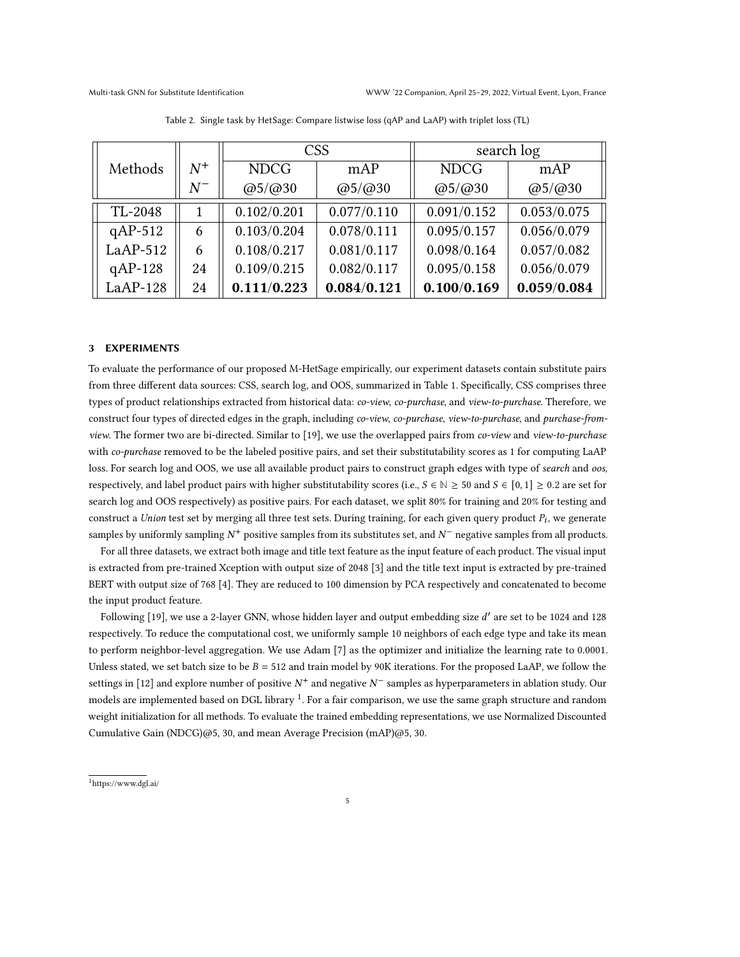<span id="page-4-1"></span>

|            |       | <b>CSS</b>              |                         | search log              |                         |
|------------|-------|-------------------------|-------------------------|-------------------------|-------------------------|
| Methods    | $N^+$ | <b>NDCG</b>             | mAP                     | <b>NDCG</b>             | mAP                     |
|            | $N^-$ | $\omega$ 5/ $\omega$ 30 | $\omega$ 5/ $\omega$ 30 | $\omega$ 5/ $\omega$ 30 | $\omega$ 5/ $\omega$ 30 |
| TL-2048    |       | 0.102/0.201             | 0.077/0.110             | 0.091/0.152             | 0.053/0.075             |
| $qAP-512$  | 6     | 0.103/0.204             | 0.078/0.111             | 0.095/0.157             | 0.056/0.079             |
| $LaAP-512$ | 6     | 0.108/0.217             | 0.081/0.117             | 0.098/0.164             | 0.057/0.082             |
| $qAP-128$  | 24    | 0.109/0.215             | 0.082/0.117             | 0.095/0.158             | 0.056/0.079             |
| $LaAP-128$ | 24    | 0.111/0.223             | 0.084/0.121             | 0.100/0.169             | 0.059/0.084             |

Table 2. Single task by HetSage: Compare listwise loss (qAP and LaAP) with triplet loss (TL)

### 3 EXPERIMENTS

To evaluate the performance of our proposed M-HetSage empirically, our experiment datasets contain substitute pairs from three different data sources: CSS, search log, and OOS, summarized in Table [1.](#page-3-1) Specifically, CSS comprises three types of product relationships extracted from historical data: *co-view, co-purchase, and view-to-purchase*. Therefore, we construct four types of directed edges in the graph, including co-view, co-purchase, view-to-purchase, and purchase-from-view. The former two are bi-directed. Similar to [\[19\]](#page-7-7), we use the overlapped pairs from co-view and view-to-purchase with co-purchase removed to be the labeled positive pairs, and set their substitutability scores as 1 for computing LaAP loss. For search log and OOS, we use all available product pairs to construct graph edges with type of search and oos, respectively, and label product pairs with higher substitutability scores (i.e.,  $S \in \mathbb{N} \ge 50$  and  $S \in [0,1] \ge 0.2$  are set for search log and OOS respectively) as positive pairs. For each dataset, we split 80% for training and 20% for testing and construct a Union test set by merging all three test sets. During training, for each given query product  $P_i$ , we generate samples by uniformly sampling  $N^+$  positive samples from its substitutes set, and  $N^-$  negative samples from all products.

For all three datasets, we extract both image and title text feature as the input feature of each product. The visual input is extracted from pre-trained Xception with output size of 2048 [\[3\]](#page-6-7) and the title text input is extracted by pre-trained BERT with output size of 768 [\[4\]](#page-6-8). They are reduced to 100 dimension by PCA respectively and concatenated to become the input product feature.

Following [\[19\]](#page-7-7), we use a 2-layer GNN, whose hidden layer and output embedding size d $^{\prime}$  are set to be 1024 and 128 respectively. To reduce the computational cost, we uniformly sample 10 neighbors of each edge type and take its mean to perform neighbor-level aggregation. We use Adam [\[7\]](#page-6-9) as the optimizer and initialize the learning rate to 0.0001. Unless stated, we set batch size to be  $B = 512$  and train model by 90K iterations. For the proposed LaAP, we follow the settings in [\[12\]](#page-7-9) and explore number of positive  $N^+$  and negative  $N^-$  samples as hyperparameters in ablation study. Our models are implemented based on DGL library <sup>[1](#page-4-0)</sup>. For a fair comparison, we use the same graph structure and random weight initialization for all methods. To evaluate the trained embedding representations, we use Normalized Discounted Cumulative Gain (NDCG)@5, 30, and mean Average Precision (mAP)@5, 30.

<span id="page-4-0"></span><sup>1</sup>https://www.dgl.ai/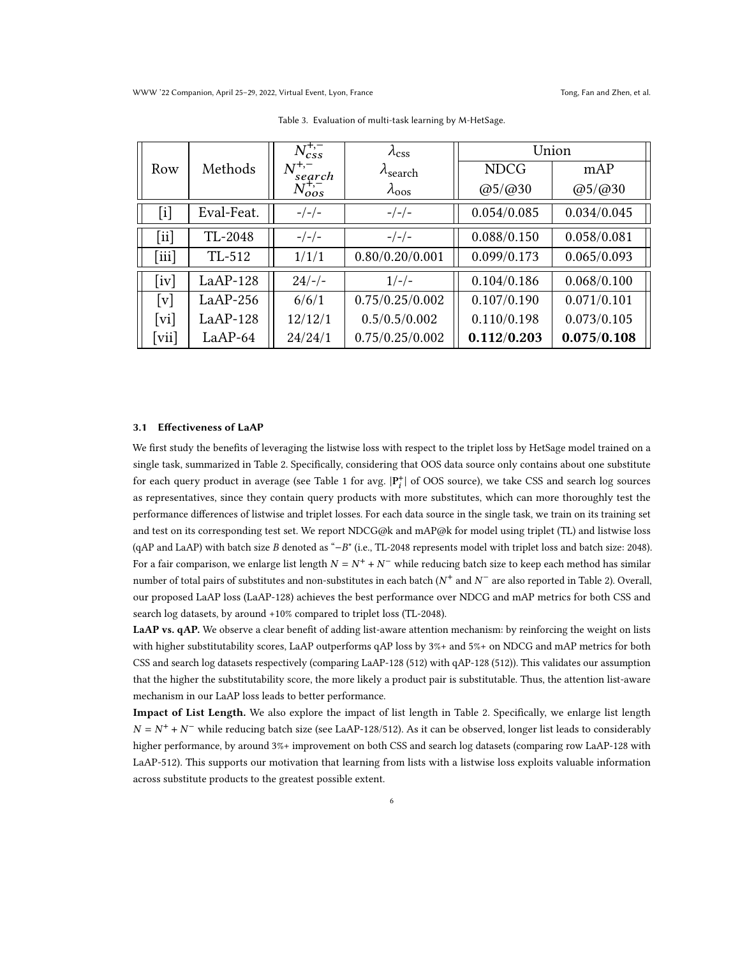<span id="page-5-0"></span>

|                             |            | $N_{css}^{+,-}$      | $\lambda_{\rm css}$       | Union       |                         |
|-----------------------------|------------|----------------------|---------------------------|-------------|-------------------------|
| Row                         | Methods    | $N^{+,-}$<br>'search | $\lambda_{\text{search}}$ | <b>NDCG</b> | mAP                     |
|                             |            | $N_{oos}^{+,-}$      | $\lambda_{\rm oos}$       | @5/@30      | $\omega$ 5/ $\omega$ 30 |
| $[\mathrm{i}]$              | Eval-Feat. | $-/-/-$              | $-/-/-$                   | 0.054/0.085 | 0.034/0.045             |
| [ii]                        | TL-2048    | $-/-/-$              | $-/-/-$                   | 0.088/0.150 | 0.058/0.081             |
| [iii]                       | TL-512     | 1/1/1                | 0.80/0.20/0.001           | 0.099/0.173 | 0.065/0.093             |
| $\lceil \mathrm{iv} \rceil$ | $LaAP-128$ | $24/-/-$             | $1/-/-$                   | 0.104/0.186 | 0.068/0.100             |
| [v]                         | $LaAP-256$ | 6/6/1                | 0.75/0.25/0.002           | 0.107/0.190 | 0.071/0.101             |
| [vi]                        | $LaAP-128$ | 12/12/1              | 0.5/0.5/0.002             | 0.110/0.198 | 0.073/0.105             |
| $[\overline{\text{vii}}]$   | $LaAP-64$  | 24/24/1              | 0.75/0.25/0.002           | 0.112/0.203 | 0.075/0.108             |

Table 3. Evaluation of multi-task learning by M-HetSage.

### 3.1 Effectiveness of LaAP

We first study the benefits of leveraging the listwise loss with respect to the triplet loss by HetSage model trained on a single task, summarized in Table [2.](#page-4-1) Specifically, considering that OOS data source only contains about one substitute for each query product in average (see Table [1](#page-3-1) for avg.  $|P_i^+|$  of OOS source), we take CSS and search log sources as representatives, since they contain query products with more substitutes, which can more thoroughly test the performance differences of listwise and triplet losses. For each data source in the single task, we train on its training set and test on its corresponding test set. We report NDCG@k and mAP@k for model using triplet (TL) and listwise loss (qAP and LaAP) with batch size B denoted as "−B" (i.e., TL-2048 represents model with triplet loss and batch size: 2048). For a fair comparison, we enlarge list length  $N = N^+ + N^-$  while reducing batch size to keep each method has similar number of total pairs of substitutes and non-substitutes in each batch ( $N^+$  and  $N^-$  are also reported in Table [2\)](#page-4-1). Overall, our proposed LaAP loss (LaAP-128) achieves the best performance over NDCG and mAP metrics for both CSS and search log datasets, by around +10% compared to triplet loss (TL-2048).

LaAP vs. qAP. We observe a clear benefit of adding list-aware attention mechanism: by reinforcing the weight on lists with higher substitutability scores, LaAP outperforms qAP loss by 3%+ and 5%+ on NDCG and mAP metrics for both CSS and search log datasets respectively (comparing LaAP-128 (512) with qAP-128 (512)). This validates our assumption that the higher the substitutability score, the more likely a product pair is substitutable. Thus, the attention list-aware mechanism in our LaAP loss leads to better performance.

Impact of List Length. We also explore the impact of list length in Table [2.](#page-4-1) Specifically, we enlarge list length  $N = N^+ + N^-$  while reducing batch size (see LaAP-128/512). As it can be observed, longer list leads to considerably higher performance, by around 3%+ improvement on both CSS and search log datasets (comparing row LaAP-128 with LaAP-512). This supports our motivation that learning from lists with a listwise loss exploits valuable information across substitute products to the greatest possible extent.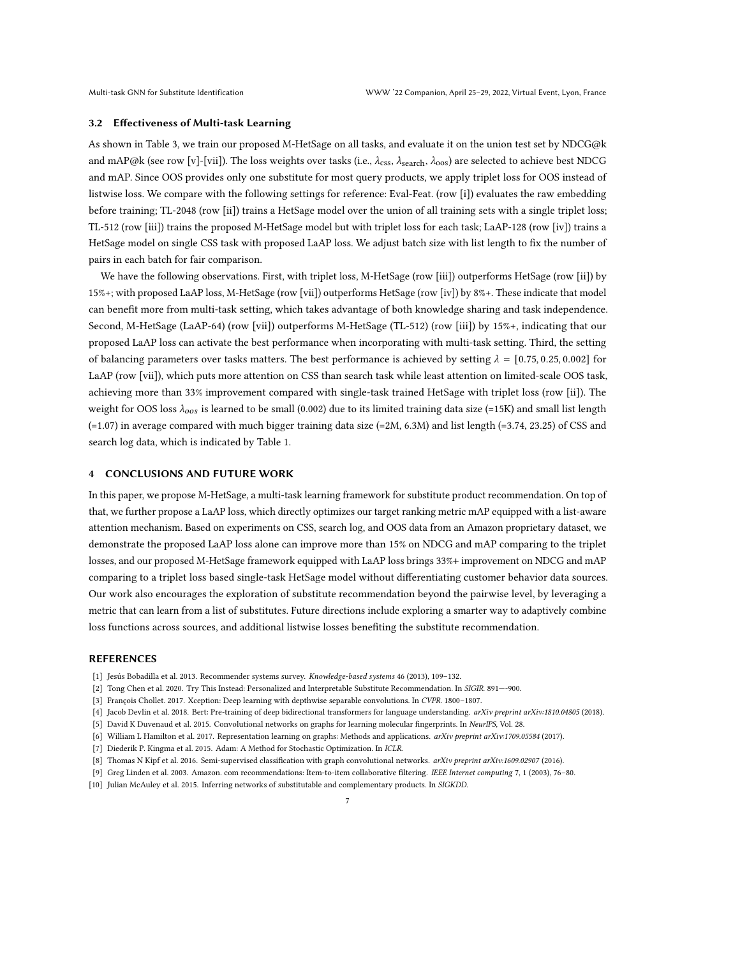#### 3.2 Effectiveness of Multi-task Learning

As shown in Table [3,](#page-5-0) we train our proposed M-HetSage on all tasks, and evaluate it on the union test set by NDCG@k and mAP@k (see row [v]-[vii]). The loss weights over tasks (i.e.,  $\lambda_{\rm css}$ ,  $\lambda_{\rm search}$ ,  $\lambda_{\rm oos}$ ) are selected to achieve best NDCG and mAP. Since OOS provides only one substitute for most query products, we apply triplet loss for OOS instead of listwise loss. We compare with the following settings for reference: Eval-Feat. (row [i]) evaluates the raw embedding before training; TL-2048 (row [ii]) trains a HetSage model over the union of all training sets with a single triplet loss; TL-512 (row [iii]) trains the proposed M-HetSage model but with triplet loss for each task; LaAP-128 (row [iv]) trains a HetSage model on single CSS task with proposed LaAP loss. We adjust batch size with list length to fix the number of pairs in each batch for fair comparison.

We have the following observations. First, with triplet loss, M-HetSage (row [iii]) outperforms HetSage (row [ii]) by 15%+; with proposed LaAP loss, M-HetSage (row [vii]) outperforms HetSage (row [iv]) by 8%+. These indicate that model can benefit more from multi-task setting, which takes advantage of both knowledge sharing and task independence. Second, M-HetSage (LaAP-64) (row [vii]) outperforms M-HetSage (TL-512) (row [iii]) by 15%+, indicating that our proposed LaAP loss can activate the best performance when incorporating with multi-task setting. Third, the setting of balancing parameters over tasks matters. The best performance is achieved by setting  $\lambda = [0.75, 0.25, 0.002]$  for LaAP (row [vii]), which puts more attention on CSS than search task while least attention on limited-scale OOS task, achieving more than 33% improvement compared with single-task trained HetSage with triplet loss (row [ii]). The weight for OOS loss  $\lambda_{oos}$  is learned to be small (0.002) due to its limited training data size (=15K) and small list length (=1.07) in average compared with much bigger training data size (=2M, 6.3M) and list length (=3.74, 23.25) of CSS and search log data, which is indicated by Table [1.](#page-3-1)

# 4 CONCLUSIONS AND FUTURE WORK

In this paper, we propose M-HetSage, a multi-task learning framework for substitute product recommendation. On top of that, we further propose a LaAP loss, which directly optimizes our target ranking metric mAP equipped with a list-aware attention mechanism. Based on experiments on CSS, search log, and OOS data from an Amazon proprietary dataset, we demonstrate the proposed LaAP loss alone can improve more than 15% on NDCG and mAP comparing to the triplet losses, and our proposed M-HetSage framework equipped with LaAP loss brings 33%+ improvement on NDCG and mAP comparing to a triplet loss based single-task HetSage model without differentiating customer behavior data sources. Our work also encourages the exploration of substitute recommendation beyond the pairwise level, by leveraging a metric that can learn from a list of substitutes. Future directions include exploring a smarter way to adaptively combine loss functions across sources, and additional listwise losses benefiting the substitute recommendation.

#### REFERENCES

- <span id="page-6-0"></span>[1] Jesús Bobadilla et al. 2013. Recommender systems survey. Knowledge-based systems 46 (2013), 109–132.
- <span id="page-6-2"></span>[2] Tong Chen et al. 2020. Try This Instead: Personalized and Interpretable Substitute Recommendation. In SIGIR. 891—-900.
- <span id="page-6-7"></span>[3] François Chollet. 2017. Xception: Deep learning with depthwise separable convolutions. In CVPR. 1800–1807.
- <span id="page-6-8"></span>[4] Jacob Devlin et al. 2018. Bert: Pre-training of deep bidirectional transformers for language understanding. arXiv preprint arXiv:1810.04805 (2018).
- <span id="page-6-5"></span>[5] David K Duvenaud et al. 2015. Convolutional networks on graphs for learning molecular fingerprints. In NeurIPS, Vol. 28.
- <span id="page-6-3"></span>[6] William L Hamilton et al. 2017. Representation learning on graphs: Methods and applications. arXiv preprint arXiv:1709.05584 (2017).
- <span id="page-6-9"></span>[7] Diederik P. Kingma et al. 2015. Adam: A Method for Stochastic Optimization. In ICLR.
- <span id="page-6-6"></span>[8] Thomas N Kipf et al. 2016. Semi-supervised classification with graph convolutional networks. arXiv preprint arXiv:1609.02907 (2016).
- <span id="page-6-4"></span>[9] Greg Linden et al. 2003. Amazon. com recommendations: Item-to-item collaborative filtering. IEEE Internet computing 7, 1 (2003), 76–80.
- <span id="page-6-1"></span>[10] Julian McAuley et al. 2015. Inferring networks of substitutable and complementary products. In SIGKDD.